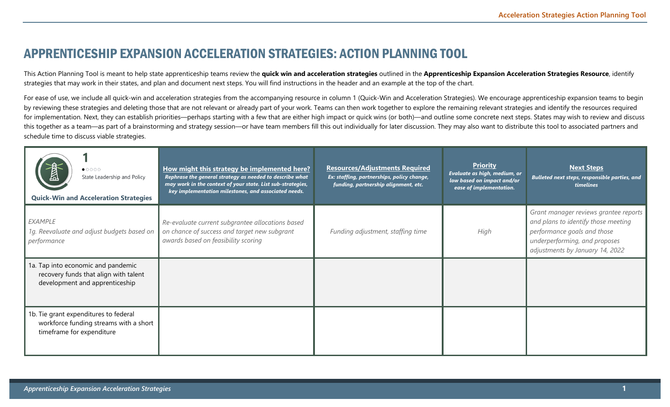## APPRENTICESHIP EXPANSION ACCELERATION STRATEGIES: ACTION PLANNING TOOL

This Action Planning Tool is meant to help state apprenticeship teams review the **quick win and acceleration strategies** outlined in the **Apprenticeship Expansion Acceleration Strategies Resource**, identify strategies that may work in their states, and plan and document next steps. You will find instructions in the header and an example at the top of the chart.

For ease of use, we include all quick-win and acceleration strategies from the accompanying resource in column 1 (Quick-Win and Acceleration Strategies). We encourage apprenticeship expansion teams to begin by reviewing these strategies and deleting those that are not relevant or already part of your work. Teams can then work together to explore the remaining relevant strategies and identify the resources required for implementation. Next, they can establish priorities—perhaps starting with a few that are either high impact or quick wins (or both)—and outline some concrete next steps. States may wish to review and discuss this together as a team—as part of a brainstorming and strategy session—or have team members fill this out individually for later discussion. They may also want to distribute this tool to associated partners and schedule time to discuss viable strategies.

| $\bullet \circ \circ \circ \circ$<br>State Leadership and Policy<br><b>Quick-Win and Acceleration Strategies</b> | How might this strategy be implemented here?<br>Rephrase the general strategy as needed to describe what<br>may work in the context of your state. List sub-strategies,<br>key implementation milestones, and associated needs. | <b>Resources/Adjustments Required</b><br>Ex: staffing, partnerships, policy change,<br>funding, partnership alignment, etc. | Priority<br>Evaluate as high, medium, or<br>low based on impact and/or<br>ease of implementation. | <b>Next Steps</b><br>Bulleted next steps, responsible parties, and<br>timelines                                                                                                 |
|------------------------------------------------------------------------------------------------------------------|---------------------------------------------------------------------------------------------------------------------------------------------------------------------------------------------------------------------------------|-----------------------------------------------------------------------------------------------------------------------------|---------------------------------------------------------------------------------------------------|---------------------------------------------------------------------------------------------------------------------------------------------------------------------------------|
| EXAMPLE<br>1g. Reevaluate and adjust budgets based on<br>performance                                             | Re-evaluate current subgrantee allocations based<br>on chance of success and target new subgrant<br>awards based on feasibility scoring                                                                                         | Funding adjustment, staffing time                                                                                           | High                                                                                              | Grant manager reviews grantee reports<br>and plans to identify those meeting<br>performance goals and those<br>underperforming, and proposes<br>adjustments by January 14, 2022 |
| 1a. Tap into economic and pandemic<br>recovery funds that align with talent<br>development and apprenticeship    |                                                                                                                                                                                                                                 |                                                                                                                             |                                                                                                   |                                                                                                                                                                                 |
| 1b. Tie grant expenditures to federal<br>workforce funding streams with a short<br>timeframe for expenditure     |                                                                                                                                                                                                                                 |                                                                                                                             |                                                                                                   |                                                                                                                                                                                 |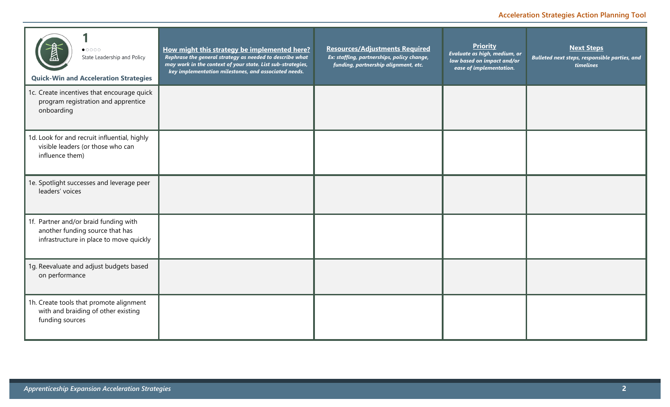| $\bullet \circ \circ \circ \circ$<br>State Leadership and Policy<br><b>Quick-Win and Acceleration Strategies</b>    | How might this strategy be implemented here?<br>Rephrase the general strategy as needed to describe what<br>may work in the context of your state. List sub-strategies,<br>key implementation milestones, and associated needs. | <b>Resources/Adjustments Required</b><br>Ex: staffing, partnerships, policy change,<br>funding, partnership alignment, etc. | <b>Priority</b><br>Evaluate as high, medium, or<br>low based on impact and/or<br>ease of implementation. | <b>Next Steps</b><br>Bulleted next steps, responsible parties, and<br>timelines |
|---------------------------------------------------------------------------------------------------------------------|---------------------------------------------------------------------------------------------------------------------------------------------------------------------------------------------------------------------------------|-----------------------------------------------------------------------------------------------------------------------------|----------------------------------------------------------------------------------------------------------|---------------------------------------------------------------------------------|
| 1c. Create incentives that encourage quick<br>program registration and apprentice<br>onboarding                     |                                                                                                                                                                                                                                 |                                                                                                                             |                                                                                                          |                                                                                 |
| 1d. Look for and recruit influential, highly<br>visible leaders (or those who can<br>influence them)                |                                                                                                                                                                                                                                 |                                                                                                                             |                                                                                                          |                                                                                 |
| 1e. Spotlight successes and leverage peer<br>leaders' voices                                                        |                                                                                                                                                                                                                                 |                                                                                                                             |                                                                                                          |                                                                                 |
| 1f. Partner and/or braid funding with<br>another funding source that has<br>infrastructure in place to move quickly |                                                                                                                                                                                                                                 |                                                                                                                             |                                                                                                          |                                                                                 |
| 1g. Reevaluate and adjust budgets based<br>on performance                                                           |                                                                                                                                                                                                                                 |                                                                                                                             |                                                                                                          |                                                                                 |
| 1h. Create tools that promote alignment<br>with and braiding of other existing<br>funding sources                   |                                                                                                                                                                                                                                 |                                                                                                                             |                                                                                                          |                                                                                 |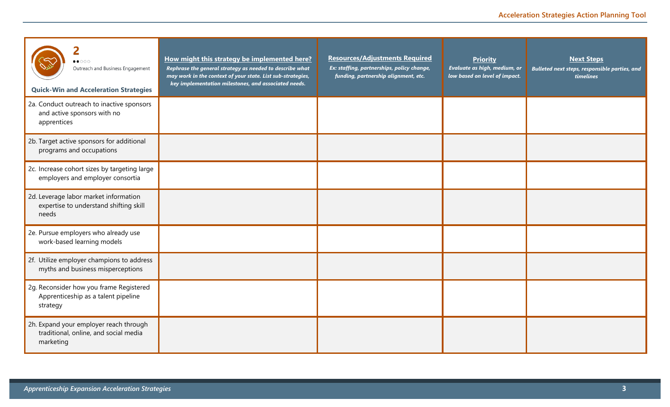| Outreach and Business Engagement<br><b>Quick-Win and Acceleration Strategies</b>             | How might this strategy be implemented here?<br>Rephrase the general strategy as needed to describe what<br>may work in the context of your state. List sub-strategies,<br>key implementation milestones, and associated needs. | <b>Resources/Adjustments Required</b><br>Ex: staffing, partnerships, policy change,<br>funding, partnership alignment, etc. | Priority<br>Evaluate as high, medium, or<br>low based on level of impact. | <b>Next Steps</b><br>Bulleted next steps, responsible parties, and<br>timelines |
|----------------------------------------------------------------------------------------------|---------------------------------------------------------------------------------------------------------------------------------------------------------------------------------------------------------------------------------|-----------------------------------------------------------------------------------------------------------------------------|---------------------------------------------------------------------------|---------------------------------------------------------------------------------|
| 2a. Conduct outreach to inactive sponsors<br>and active sponsors with no<br>apprentices      |                                                                                                                                                                                                                                 |                                                                                                                             |                                                                           |                                                                                 |
| 2b. Target active sponsors for additional<br>programs and occupations                        |                                                                                                                                                                                                                                 |                                                                                                                             |                                                                           |                                                                                 |
| 2c. Increase cohort sizes by targeting large<br>employers and employer consortia             |                                                                                                                                                                                                                                 |                                                                                                                             |                                                                           |                                                                                 |
| 2d. Leverage labor market information<br>expertise to understand shifting skill<br>needs     |                                                                                                                                                                                                                                 |                                                                                                                             |                                                                           |                                                                                 |
| 2e. Pursue employers who already use<br>work-based learning models                           |                                                                                                                                                                                                                                 |                                                                                                                             |                                                                           |                                                                                 |
| 2f. Utilize employer champions to address<br>myths and business misperceptions               |                                                                                                                                                                                                                                 |                                                                                                                             |                                                                           |                                                                                 |
| 2g. Reconsider how you frame Registered<br>Apprenticeship as a talent pipeline<br>strategy   |                                                                                                                                                                                                                                 |                                                                                                                             |                                                                           |                                                                                 |
| 2h. Expand your employer reach through<br>traditional, online, and social media<br>marketing |                                                                                                                                                                                                                                 |                                                                                                                             |                                                                           |                                                                                 |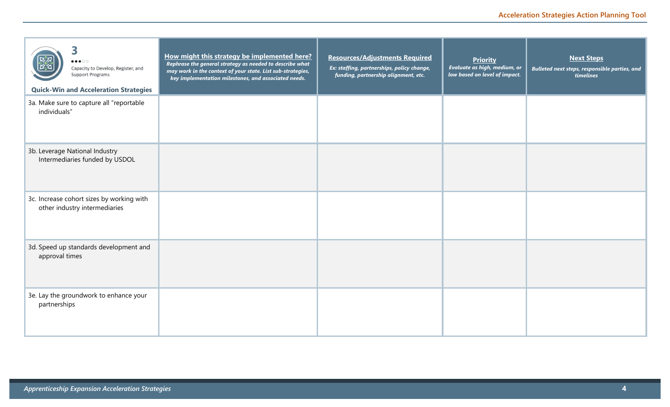| 3<br>$\bullet\bullet\circ\circ$<br>Capacity to Develop, Register, and<br><b>Support Programs</b><br><b>Quick-Win and Acceleration Strategies</b> | How might this strategy be implemented here?<br>Rephrase the general strategy as needed to describe what<br>may work in the context of your state. List sub-strategies,<br>key implementation milestones, and associated needs. | <b>Resources/Adjustments Required</b><br>Ex: staffing, partnerships, policy change,<br>funding, partnership alignment, etc. | <b>Priority</b><br>Evaluate as high, medium, or<br>low based on level of impact. | <b>Next Steps</b><br>Bulleted next steps, responsible parties, and<br>timelines |
|--------------------------------------------------------------------------------------------------------------------------------------------------|---------------------------------------------------------------------------------------------------------------------------------------------------------------------------------------------------------------------------------|-----------------------------------------------------------------------------------------------------------------------------|----------------------------------------------------------------------------------|---------------------------------------------------------------------------------|
| 3a. Make sure to capture all "reportable<br>individuals"                                                                                         |                                                                                                                                                                                                                                 |                                                                                                                             |                                                                                  |                                                                                 |
| 3b. Leverage National Industry<br>Intermediaries funded by USDOL                                                                                 |                                                                                                                                                                                                                                 |                                                                                                                             |                                                                                  |                                                                                 |
| 3c. Increase cohort sizes by working with<br>other industry intermediaries                                                                       |                                                                                                                                                                                                                                 |                                                                                                                             |                                                                                  |                                                                                 |
| 3d. Speed up standards development and<br>approval times                                                                                         |                                                                                                                                                                                                                                 |                                                                                                                             |                                                                                  |                                                                                 |
| 3e. Lay the groundwork to enhance your<br>partnerships                                                                                           |                                                                                                                                                                                                                                 |                                                                                                                             |                                                                                  |                                                                                 |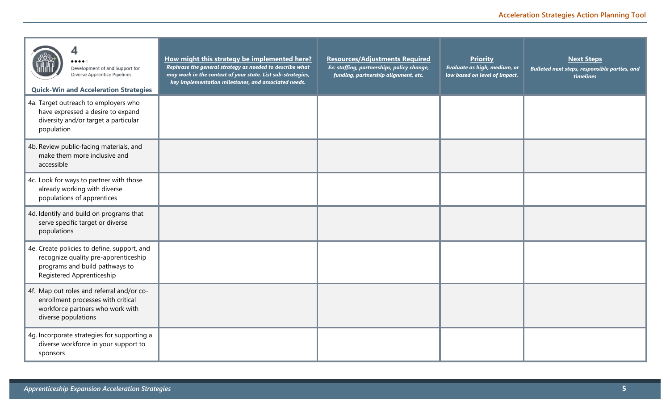| Development of and Support for<br>Diverse Apprentice Pipelines<br><b>Quick-Win and Acceleration Strategies</b>                                     | How might this strategy be implemented here?<br>Rephrase the general strategy as needed to describe what<br>may work in the context of your state. List sub-strategies,<br>key implementation milestones, and associated needs. | <b>Resources/Adjustments Required</b><br>Ex: staffing, partnerships, policy change,<br>funding, partnership alignment, etc. | Priority<br>Evaluate as high, medium, or<br>low based on level of impact. | <b>Next Steps</b><br><b>Bulleted next steps, responsible parties, and</b><br>timelines |
|----------------------------------------------------------------------------------------------------------------------------------------------------|---------------------------------------------------------------------------------------------------------------------------------------------------------------------------------------------------------------------------------|-----------------------------------------------------------------------------------------------------------------------------|---------------------------------------------------------------------------|----------------------------------------------------------------------------------------|
| 4a. Target outreach to employers who<br>have expressed a desire to expand<br>diversity and/or target a particular<br>population                    |                                                                                                                                                                                                                                 |                                                                                                                             |                                                                           |                                                                                        |
| 4b. Review public-facing materials, and<br>make them more inclusive and<br>accessible                                                              |                                                                                                                                                                                                                                 |                                                                                                                             |                                                                           |                                                                                        |
| 4c. Look for ways to partner with those<br>already working with diverse<br>populations of apprentices                                              |                                                                                                                                                                                                                                 |                                                                                                                             |                                                                           |                                                                                        |
| 4d. Identify and build on programs that<br>serve specific target or diverse<br>populations                                                         |                                                                                                                                                                                                                                 |                                                                                                                             |                                                                           |                                                                                        |
| 4e. Create policies to define, support, and<br>recognize quality pre-apprenticeship<br>programs and build pathways to<br>Registered Apprenticeship |                                                                                                                                                                                                                                 |                                                                                                                             |                                                                           |                                                                                        |
| 4f. Map out roles and referral and/or co-<br>enrollment processes with critical<br>workforce partners who work with<br>diverse populations         |                                                                                                                                                                                                                                 |                                                                                                                             |                                                                           |                                                                                        |
| 4g. Incorporate strategies for supporting a<br>diverse workforce in your support to<br>sponsors                                                    |                                                                                                                                                                                                                                 |                                                                                                                             |                                                                           |                                                                                        |